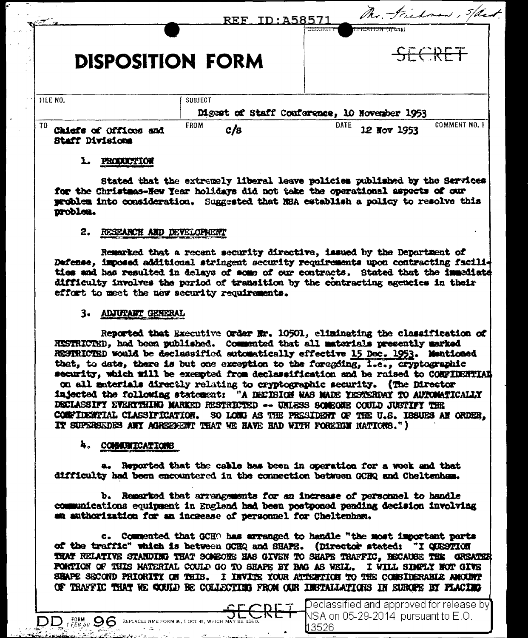|                         | REF TD: 45857  | The Frichnen, Spant<br><del>SECURITY</del><br>DIFICATION (IFGRI) |
|-------------------------|----------------|------------------------------------------------------------------|
| <b>DISPOSITION FORM</b> |                | <u>ode 7</u>                                                     |
|                         |                |                                                                  |
| FILE NO.                | <b>SUBJECT</b> | Digest of Staff Conference, 10 November 1953                     |

#### 1. PRODUCTION

Stated that the extremely liberal leave policies published by the Services for the Christmas-New Year holidays did not take the operational aspects of our problem into consideration. Suggested that NBA establish a policy to resolve this problem.

#### 2. RESEARCH AND DEVELOPMENT

Remarked that a recent security directive, issued by the Department of Defense, imposed additional stringent security requirements upon contracting facilities and has resulted in delays of some of our contracts. Stated that the immediate difficulty involves the pariod of transition by the contracting agencies in their effort to meet the new security requirements.

#### 3. ADJUTANT GENERAL

Reported that Executive Order Nr. 10501, eliminating the classification of RESTRICTED, had been published. Commented that all materials presently marked RESTRICTED would be declassified automatically effective 15 Dec. 1953. Mentioned that, to date, there is but one exception to the foregoing, i.e., cryptographic security, which will be exempted from declassification and be raised to CONFIDENTIAL on all materials directly relating to cryptographic security. (The Director injected the following statement: "A DECIBION WAS MADE YESTERDAY TO AUTOMATICALLY DECLASSIFY EVERYTHING MARKED RESTRICTED -- UNLESS SOMEONE COULD JUSTIFY THE COMPIDENTIAL CLASSIFICATION. SO LONG AS THE PRESIDENT OF THE U.S. IBBUES AN ORDER. IT SUPERSEDES ANY AGRESSENT THAT WE HAVE HAD WITH FOREIGN NATIONS.")

#### 4. COMMUNICATIONS

 $DD$   $_{t}$   $_{c}$   $_{g,o}$   $96$  REPLACES NME FORM 96, 1 OCT 48, WHICH MAY BE USED.

a. Reported that the cable has been in operation for a week and that difficulty had been encountered in the connection between GCHQ and Cheltenham.

b. Remarked that arrangements for an increase of personnel to handle communications equipment in England had been postponed pending decision involving an authorization for an increase of personnel for Cheltenham.

c. Commented that GCHO has arranged to handle "the most important parts of the traffic" which is between GCHQ and SHAPE. (Director stated: "I QUESTION THAT RELATIVE STANDING THAT SOMEONE HAS GIVEN TO SHAPE TRAFFIC, BECAUSE THE GREATER PORTION OF THIS MATERIAL COULD GO TO SHAPS BY BAG AS WELL. I WILL SIMPLY NOT GIVE SHAPE SECOND PRIORITY OF THIS. I INVITE YOUR ATTERTION TO THE CONSIDERABLE AMOUNT OF TRAFFIC THAT WE COULD BE COLLECTING FROM OUR INSTALLATIONS IN EUROPE BY PLACING

> Declassified and approved for release by  $\,$ NSA on 05-29-2014 pursuant to E.O. 13526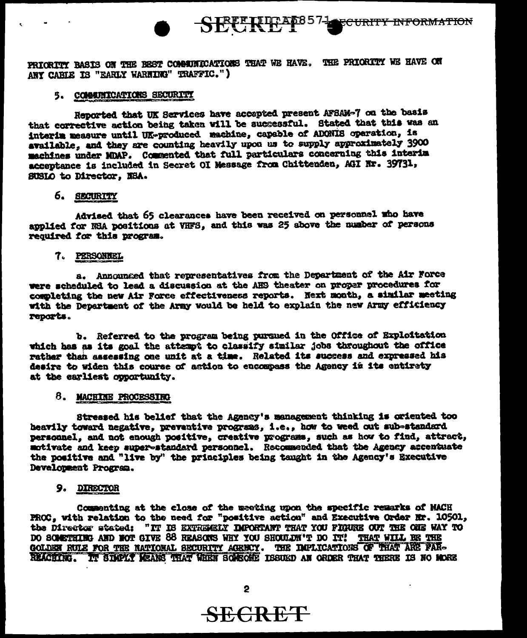PRICRITY BASIS ON THE BEST COMMITICATIONS THAT WE HAVE. THE PRICRITY WE HAVE ON ANY CABLE IS "EARLY WARNING" TRAFFIC.")

### 5. COMMITRATIONS SECURITY

Reported that UK Services have accepted present AFSAM-7 on the basis that corrective action being taken will be successful. Stated that this was an interim measure until UK-produced machine, capable of ADONIS operation, is available, and they are counting heavily upon us to supply approximately 3900 machines under MDAP. Commented that full particulars concerning this interim acceptance is included in Secret OI Message from Chittenden, AGI Nr. 39731, SUSIO to Director, NSA.

## 6. SECURITY

Advised that 65 clearances have been received on personnel who have applied for NSA positions at VHFS. and this was 25 above the number of persons required for this program.

### 7. PERSONNEL

a. Announced that representatives from the Department of the Air Force were scheduled to lead a discussion at the AHS theater on proper procedures for completing the new Air Force effectiveness reports. Next month, a similar meeting with the Department of the Army would be held to explain the new Army efficiency reports.

b. Referred to the program being pursued in the Office of Exploitation which has as its goal the attempt to classify similar jobs throughout the office rather than assessing one unit at a time. Related its success and expressed his desire to widen this course of action to encompass the Agency in its entirety at the earliest opportunity.

### 8. MACHINE PROCESSING

Streased his belief that the Agency's management thinking is oriented too heavily toward negative, prevantive programs, i.e., how to weed out sub-standard personnel, and not enough positive, creative programs, such as how to find, attract, motivate and keep super-standard personnel. Recommended that the Agency accentuate the positive and "live by" the principles being taught in the Agency's Executive Development Program.

# 9. DIRECTOR

Commenting at the close of the meeting upon the specific remarks of MACH PROC, with relation to the need for "positive action" and Executive Order Nr. 10501, the Director stated: "IT IS EXTREMELY DIPORTANT THAT YOU FIGURE OUT THE ONE WAY TO DO SOMETHING AND NOT GIVE 88 REASONS WHY YOU SHOULDN'T DO IT! THAT WILL BE THE GOLDEN RULE FOR THE NATIONAL SECURITY AGENCY. THE IMPLICATIONS OF THAT ARE FAR-REACHING. IT SIMPLY MEANS THAT WHEN SOURCHE ISSUED AN ORDER THAT THERE IS NO MORE

**SECRET**